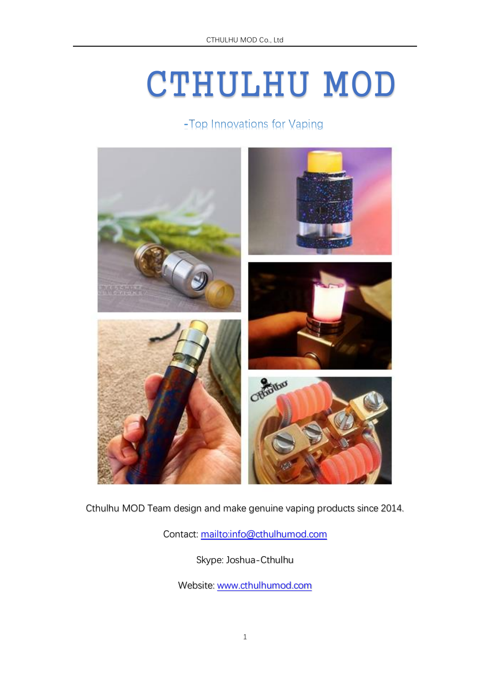# CTHULHU MOD

-Top Innovations for Vaping



Cthulhu MOD Team design and make genuine vaping products since 2014.

Contact: <mailto:info@cthulhumod.com>

Skype: Joshua-Cthulhu

Website: [www.cthulhumod.com](http://www.cthulhumod.com/)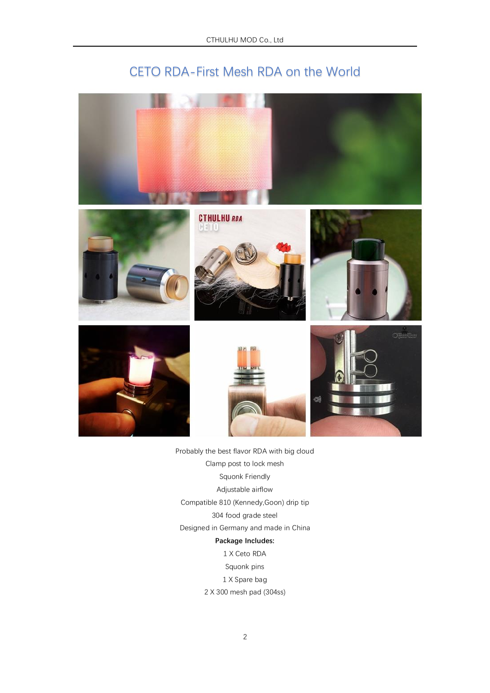## CETO RDA-First Mesh RDA on the World



- Probably the best flavor RDA with big cloud Clamp post to lock mesh Squonk Friendly Adjustable airflow Compatible 810 (Kennedy,Goon) drip tip 304 food grade steel Designed in Germany and made in China **Package Includes:**
	- 1 X Ceto RDA Squonk pins 1 X Spare bag 2 X 300 mesh pad (304ss)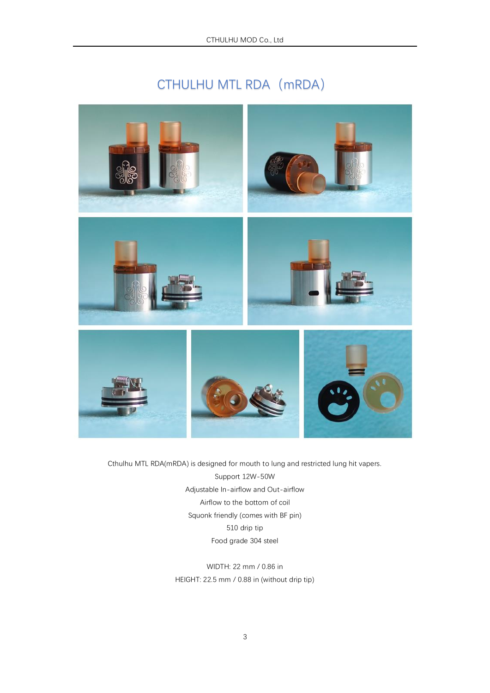# CTHULHU MTL RDA (mRDA)



Cthulhu MTL RDA(mRDA) is designed for mouth to lung and restricted lung hit vapers. Support 12W-50W Adjustable In-airflow and Out-airflow Airflow to the bottom of coil Squonk friendly (comes with BF pin) 510 drip tip Food grade 304 steel

> WIDTH: 22 mm / 0.86 in HEIGHT: 22.5 mm / 0.88 in (without drip tip)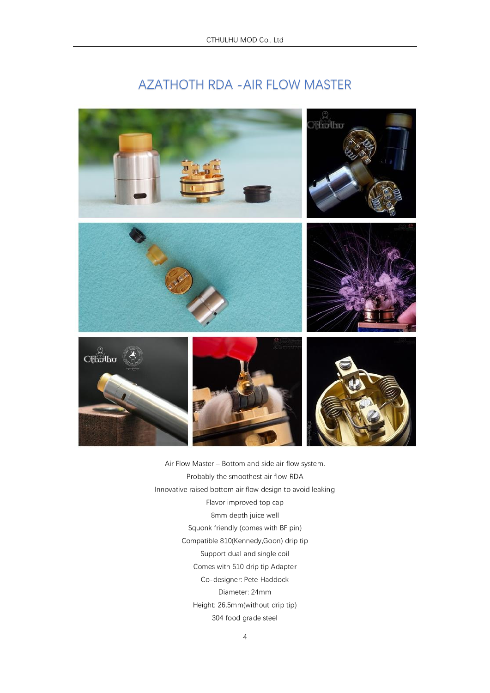### AZATHOTH RDA -AIR FLOW MASTER



Air Flow Master – Bottom and side air flow system. Probably the smoothest air flow RDA Innovative raised bottom air flow design to avoid leaking Flavor improved top cap 8mm depth juice well Squonk friendly (comes with BF pin) Compatible 810(Kennedy,Goon) drip tip Support dual and single coil Comes with 510 drip tip Adapter Co-designer: Pete Haddock Diameter: 24mm Height: 26.5mm(without drip tip) 304 food grade steel